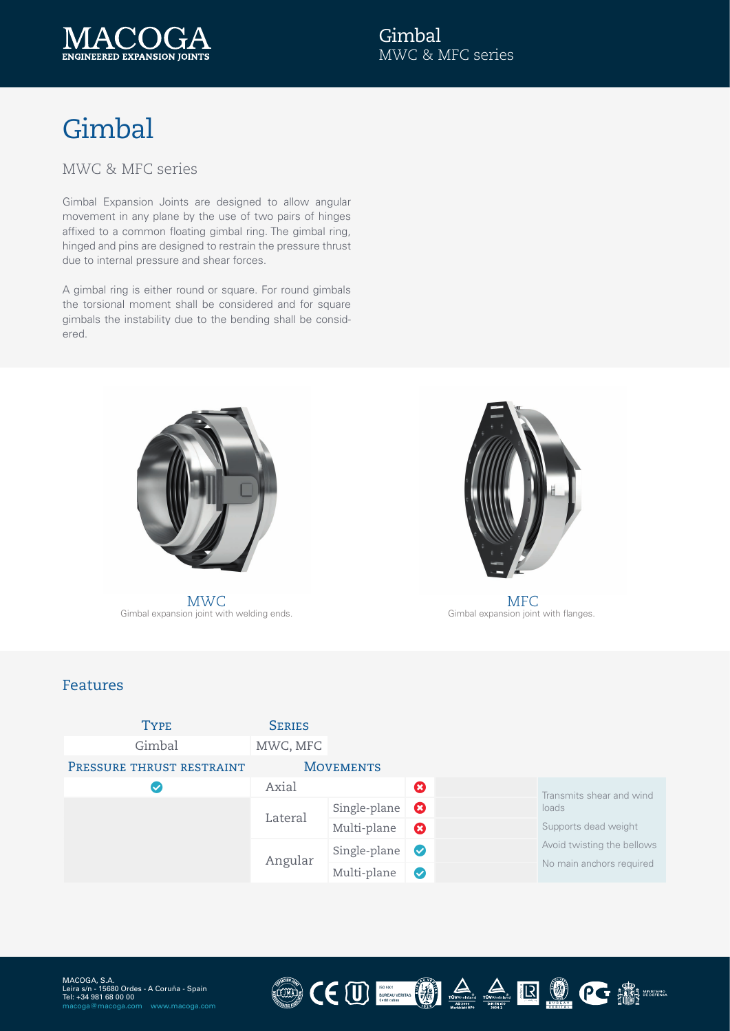

# Gimbal

#### MWC & MFC series

Gimbal Expansion Joints are designed to allow angular movement in any plane by the use of two pairs of hinges affixed to a common floating gimbal ring. The gimbal ring, hinged and pins are designed to restrain the pressure thrust due to internal pressure and shear forces.

A gimbal ring is either round or square. For round gimbals the torsional moment shall be considered and for square gimbals the instability due to the bending shall be considered.



Gimbal expansion joint with welding ends. MWC MFC



Gimbal expansion joint with flanges.

#### Features

| <b>TYPE</b>               | <b>SERIES</b> |                  |                       |  |                                                                                         |
|---------------------------|---------------|------------------|-----------------------|--|-----------------------------------------------------------------------------------------|
| Gimbal                    | MWC, MFC      |                  |                       |  |                                                                                         |
| PRESSURE THRUST RESTRAINT |               | <b>MOVEMENTS</b> |                       |  |                                                                                         |
| $\checkmark$              | Axial         |                  | Ø                     |  | Transmits shear and wind                                                                |
|                           | Lateral       | Single-plane     | $\boldsymbol{\Omega}$ |  | loads<br>Supports dead weight<br>Avoid twisting the bellows<br>No main anchors required |
|                           |               | Multi-plane      | $\boldsymbol{\Omega}$ |  |                                                                                         |
|                           | Angular       | Single-plane     | $\bullet$             |  |                                                                                         |
|                           |               | Multi-plane      | $\bullet$             |  |                                                                                         |

 $(\text{m})$